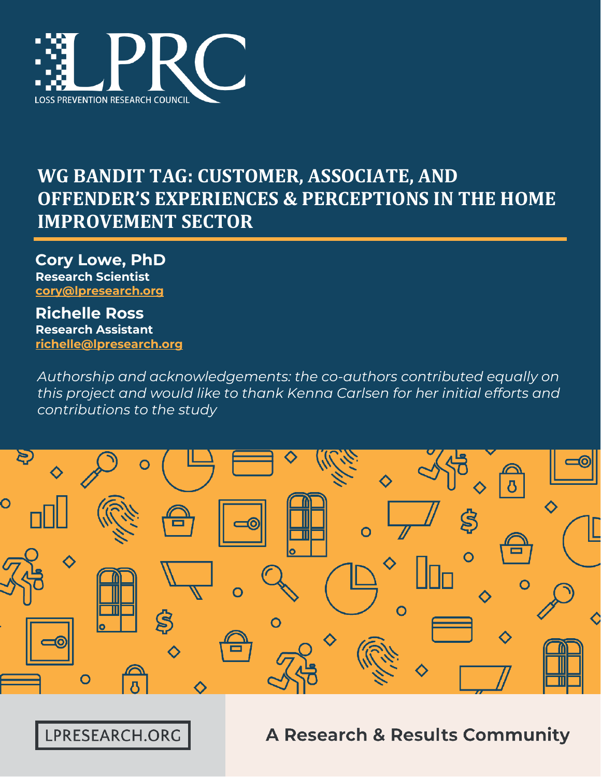

# **WG BANDIT TAG: CUSTOMER, ASSOCIATE, AND OFFENDER'S EXPERIENCES & PERCEPTIONS IN THE HOME IMPROVEMENT SECTOR**

**Cory Lowe, PhD Research Scientist [cory@lpresearch.org](mailto:cory@lpresearch.org)**

**Richelle Ross Research Assistant [richelle@lpresearch.org](mailto:richelle@lpresearch.org)**

*Authorship and acknowledgements: the co-authors contributed equally on this project and would like to thank Kenna Carlsen for her initial efforts and contributions to the study*



LPRESEARCH.ORG

**A Research & Results Community**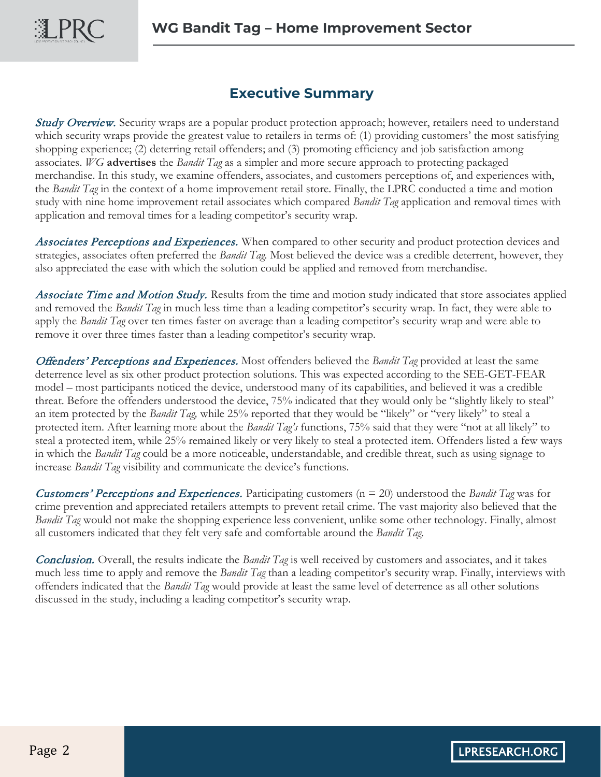#### **Executive Summary**

**Study Overview.** Security wraps are a popular product protection approach; however, retailers need to understand which security wraps provide the greatest value to retailers in terms of: (1) providing customers' the most satisfying shopping experience; (2) deterring retail offenders; and (3) promoting efficiency and job satisfaction among associates. *WG* **advertises** the *Bandit Tag* as a simpler and more secure approach to protecting packaged merchandise. In this study, we examine offenders, associates, and customers perceptions of, and experiences with, the *Bandit Tag* in the context of a home improvement retail store. Finally, the LPRC conducted a time and motion study with nine home improvement retail associates which compared *Bandit Tag* application and removal times with application and removal times for a leading competitor's security wrap.

Associates Perceptions and Experiences. When compared to other security and product protection devices and strategies, associates often preferred the *Bandit Tag.* Most believed the device was a credible deterrent, however, they also appreciated the ease with which the solution could be applied and removed from merchandise.

Associate Time and Motion Study. Results from the time and motion study indicated that store associates applied and removed the *Bandit Tag* in much less time than a leading competitor's security wrap. In fact, they were able to apply the *Bandit Tag* over ten times faster on average than a leading competitor's security wrap and were able to remove it over three times faster than a leading competitor's security wrap.

Offenders' Perceptions and Experiences. Most offenders believed the *Bandit Tag* provided at least the same deterrence level as six other product protection solutions. This was expected according to the SEE-GET-FEAR model – most participants noticed the device, understood many of its capabilities, and believed it was a credible threat. Before the offenders understood the device, 75% indicated that they would only be "slightly likely to steal" an item protected by the *Bandit Tag,* while 25% reported that they would be "likely" or "very likely" to steal a protected item. After learning more about the *Bandit Tag's* functions, 75% said that they were "not at all likely" to steal a protected item, while 25% remained likely or very likely to steal a protected item. Offenders listed a few ways in which the *Bandit Tag* could be a more noticeable, understandable, and credible threat, such as using signage to increase *Bandit Tag* visibility and communicate the device's functions.

Customers' Perceptions and Experiences. Participating customers (n = 20) understood the *Bandit Tag* was for crime prevention and appreciated retailers attempts to prevent retail crime. The vast majority also believed that the *Bandit Tag* would not make the shopping experience less convenient, unlike some other technology. Finally, almost all customers indicated that they felt very safe and comfortable around the *Bandit Tag.* 

Conclusion. Overall, the results indicate the *Bandit Tag* is well received by customers and associates, and it takes much less time to apply and remove the *Bandit Tag* than a leading competitor's security wrap. Finally, interviews with offenders indicated that the *Bandit Tag* would provide at least the same level of deterrence as all other solutions discussed in the study, including a leading competitor's security wrap.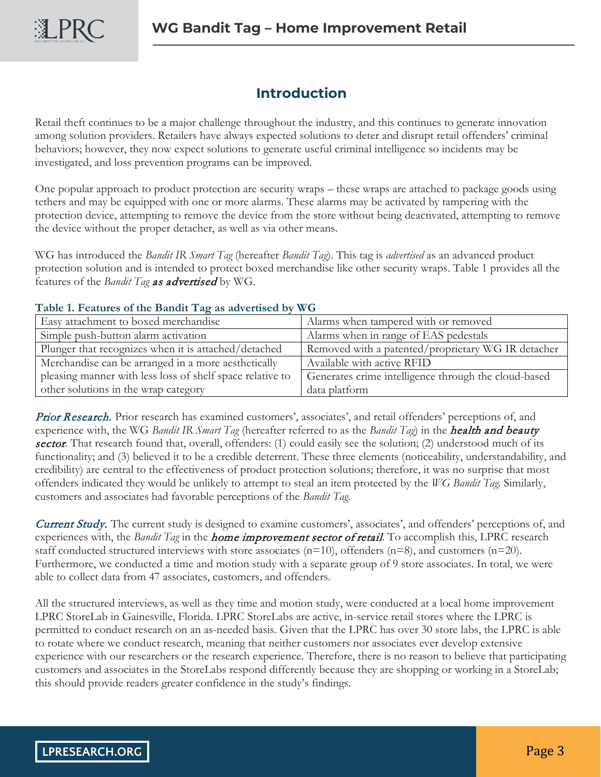#### **Introduction**

Retail theft continues to be a major challenge throughout the industry, and this continues to generate innovation among solution providers. Retailers have always expected solutions to deter and disrupt retail offenders' criminal behaviors; however, they now expect solutions to generate useful criminal intelligence so incidents may be investigated, and loss prevention programs can be improved.

One popular approach to product protection are security wraps – these wraps are attached to package goods using tethers and may be equipped with one or more alarms. These alarms may be activated by tampering with the protection device, attempting to remove the device from the store without being deactivated, attempting to remove the device without the proper detacher, as well as via other means.

WG has introduced the *Bandit IR Smart Tag* (hereafter *Bandit Tag*). This tag is *advertised* as an advanced product protection solution and is intended to protect boxed merchandise like other security wraps. Table 1 provides all the features of the *Bandit Tag* as advertised by WG.

#### **Table 1. Features of the Bandit Tag as advertised by WG**

| Easy attachment to boxed merchandise                      | Alarms when tampered with or removed                 |  |
|-----------------------------------------------------------|------------------------------------------------------|--|
| Simple push-button alarm activation                       | Alarms when in range of EAS pedestals                |  |
| Plunger that recognizes when it is attached/detached      | Removed with a patented/proprietary WG IR detacher   |  |
| Merchandise can be arranged in a more aesthetically       | Available with active RFID                           |  |
| pleasing manner with less loss of shelf space relative to | Generates crime intelligence through the cloud-based |  |
| other solutions in the wrap category                      | data platform                                        |  |

Prior Research. Prior research has examined customers', associates', and retail offenders' perceptions of, and experience with, the WG *Bandit IR Smart Tag* (hereafter referred to as the *Bandit Tag*) in the health and beauty sector. That research found that, overall, offenders: (1) could easily see the solution; (2) understood much of its functionality; and (3) believed it to be a credible deterrent. These three elements (noticeability, understandability, and credibility) are central to the effectiveness of product protection solutions; therefore, it was no surprise that most offenders indicated they would be unlikely to attempt to steal an item protected by the *WG Bandit Tag.* Similarly, customers and associates had favorable perceptions of the *Bandit Tag.* 

**Current Study.** The current study is designed to examine customers', associates', and offenders' perceptions of, and experiences with, the *Bandit Tag* in the home improvement sector of retail. To accomplish this, LPRC research staff conducted structured interviews with store associates ( $n=10$ ), offenders ( $n=8$ ), and customers ( $n=20$ ). Furthermore, we conducted a time and motion study with a separate group of 9 store associates. In total, we were able to collect data from 47 associates, customers, and offenders.

All the structured interviews, as well as they time and motion study, were conducted at a local home improvement LPRC StoreLab in Gainesville, Florida. LPRC StoreLabs are active, in-service retail stores where the LPRC is permitted to conduct research on an as-needed basis. Given that the LPRC has over 30 store labs, the LPRC is able to rotate where we conduct research, meaning that neither customers nor associates ever develop extensive experience with our researchers or the research experience. Therefore, there is no reason to believe that participating customers and associates in the StoreLabs respond differently because they are shopping or working in a StoreLab; this should provide readers greater confidence in the study's findings.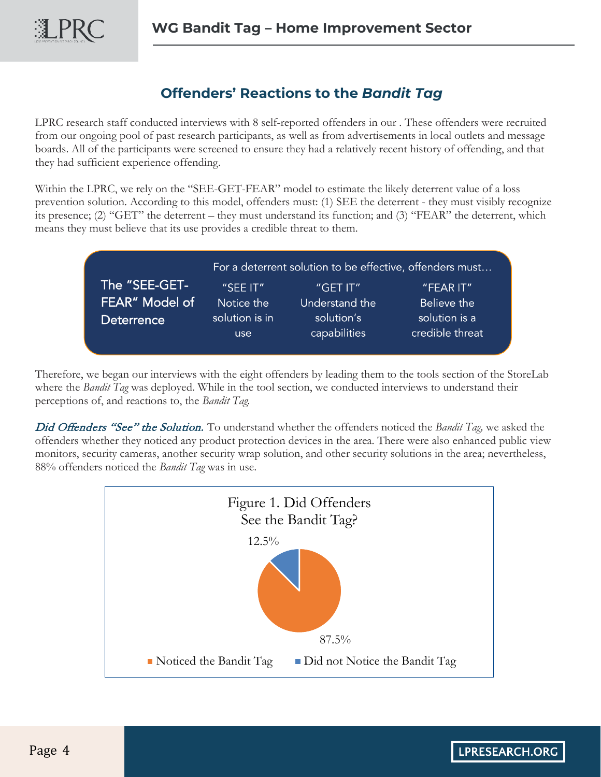## **Offenders' Reactions to the** *Bandit Tag*

LPRC research staff conducted interviews with 8 self-reported offenders in our . These offenders were recruited from our ongoing pool of past research participants, as well as from advertisements in local outlets and message boards. All of the participants were screened to ensure they had a relatively recent history of offending, and that they had sufficient experience offending.

Within the LPRC, we rely on the "SEE-GET-FEAR" model to estimate the likely deterrent value of a loss prevention solution. According to this model, offenders must: (1) SEE the deterrent - they must visibly recognize its presence; (2) "GET" the deterrent – they must understand its function; and (3) "FEAR" the deterrent, which means they must believe that its use provides a credible threat to them.

|                   | For a deterrent solution to be effective, offenders must |                |                 |  |
|-------------------|----------------------------------------------------------|----------------|-----------------|--|
| The "SEE-GET-'    | $"$ SEE IT $"$                                           | "GET IT"       | "FEAR IT"       |  |
| FEAR" Model of    | Notice the                                               | Understand the | Believe the     |  |
| <b>Deterrence</b> | solution is in                                           | solution's     | solution is a   |  |
|                   | use                                                      | capabilities   | credible threat |  |

Therefore, we began our interviews with the eight offenders by leading them to the tools section of the StoreLab where the *Bandit Tag* was deployed. While in the tool section, we conducted interviews to understand their perceptions of, and reactions to, the *Bandit Tag.* 

Did Offenders "See" the Solution. To understand whether the offenders noticed the *Bandit Tag,* we asked the offenders whether they noticed any product protection devices in the area. There were also enhanced public view monitors, security cameras, another security wrap solution, and other security solutions in the area; nevertheless, 88% offenders noticed the *Bandit Tag* was in use.

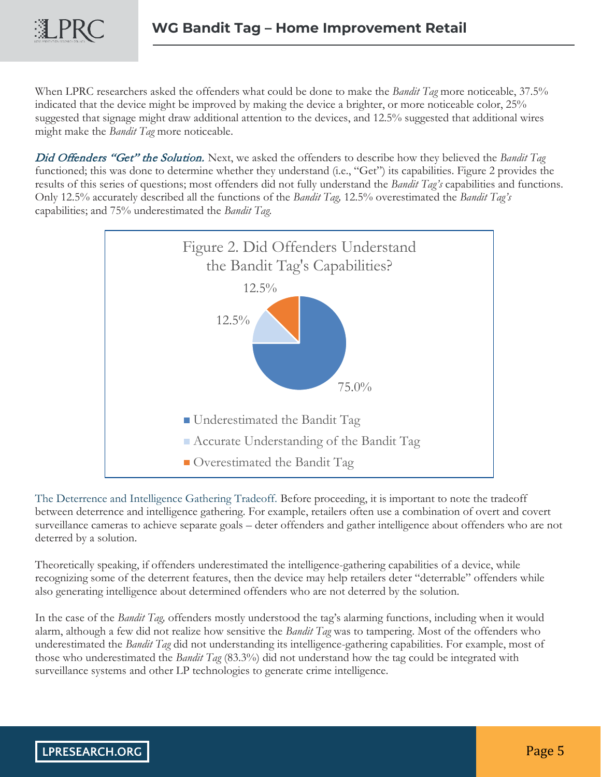LPRC

When LPRC researchers asked the offenders what could be done to make the *Bandit Tag* more noticeable, 37.5% indicated that the device might be improved by making the device a brighter, or more noticeable color, 25% suggested that signage might draw additional attention to the devices, and 12.5% suggested that additional wires might make the *Bandit Tag* more noticeable.

Did Offenders "Get" the Solution. Next, we asked the offenders to describe how they believed the *Bandit Tag*  functioned; this was done to determine whether they understand (i.e., "Get") its capabilities. Figure 2 provides the results of this series of questions; most offenders did not fully understand the *Bandit Tag's* capabilities and functions. Only 12.5% accurately described all the functions of the *Bandit Tag,* 12.5% overestimated the *Bandit Tag's*  capabilities; and 75% underestimated the *Bandit Tag.* 



The Deterrence and Intelligence Gathering Tradeoff. Before proceeding, it is important to note the tradeoff between deterrence and intelligence gathering. For example, retailers often use a combination of overt and covert surveillance cameras to achieve separate goals – deter offenders and gather intelligence about offenders who are not deterred by a solution.

Theoretically speaking, if offenders underestimated the intelligence-gathering capabilities of a device, while recognizing some of the deterrent features, then the device may help retailers deter "deterrable" offenders while also generating intelligence about determined offenders who are not deterred by the solution.

In the case of the *Bandit Tag,* offenders mostly understood the tag's alarming functions, including when it would alarm, although a few did not realize how sensitive the *Bandit Tag* was to tampering. Most of the offenders who underestimated the *Bandit Tag* did not understanding its intelligence-gathering capabilities. For example, most of those who underestimated the *Bandit Tag* (83.3%) did not understand how the tag could be integrated with surveillance systems and other LP technologies to generate crime intelligence.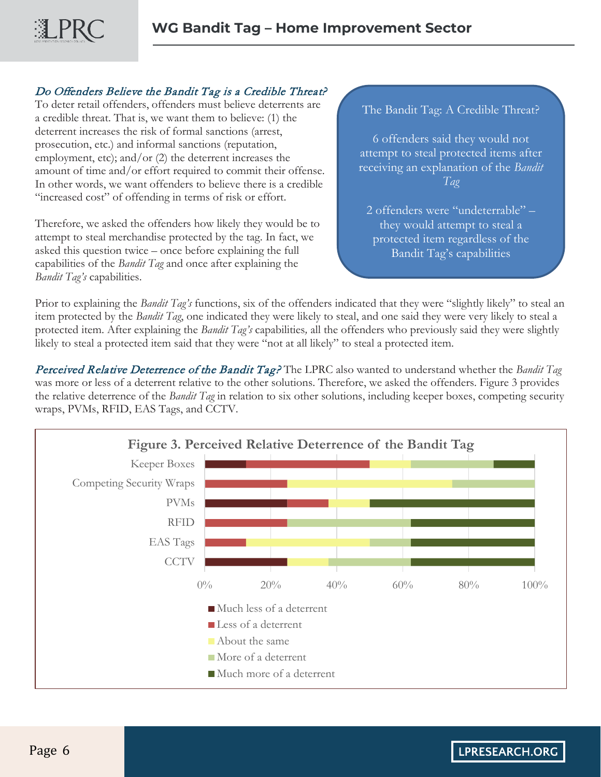#### Do Offenders Believe the Bandit Tag is a Credible Threat?

To deter retail offenders, offenders must believe deterrents are a credible threat. That is, we want them to believe: (1) the deterrent increases the risk of formal sanctions (arrest, prosecution, etc.) and informal sanctions (reputation, employment, etc); and/or (2) the deterrent increases the amount of time and/or effort required to commit their offense. In other words, we want offenders to believe there is a credible "increased cost" of offending in terms of risk or effort.

Therefore, we asked the offenders how likely they would be to attempt to steal merchandise protected by the tag. In fact, we asked this question twice – once before explaining the full capabilities of the *Bandit Tag* and once after explaining the *Bandit Tag's* capabilities.

The Bandit Tag: A Credible Threat?

6 offenders said they would not attempt to steal protected items after receiving an explanation of the *Bandit Tag*

2 offenders were "undeterrable" – they would attempt to steal a protected item regardless of the Bandit Tag's capabilities

Prior to explaining the *Bandit Tag's* functions, six of the offenders indicated that they were "slightly likely" to steal an item protected by the *Bandit Tag*, one indicated they were likely to steal, and one said they were very likely to steal a protected item. After explaining the *Bandit Tag's* capabilities*,* all the offenders who previously said they were slightly likely to steal a protected item said that they were "not at all likely" to steal a protected item.

Perceived Relative Deterrence of the Bandit Tag? The LPRC also wanted to understand whether the *Bandit Tag*  was more or less of a deterrent relative to the other solutions. Therefore, we asked the offenders. Figure 3 provides the relative deterrence of the *Bandit Tag* in relation to six other solutions, including keeper boxes, competing security wraps, PVMs, RFID, EAS Tags, and CCTV.

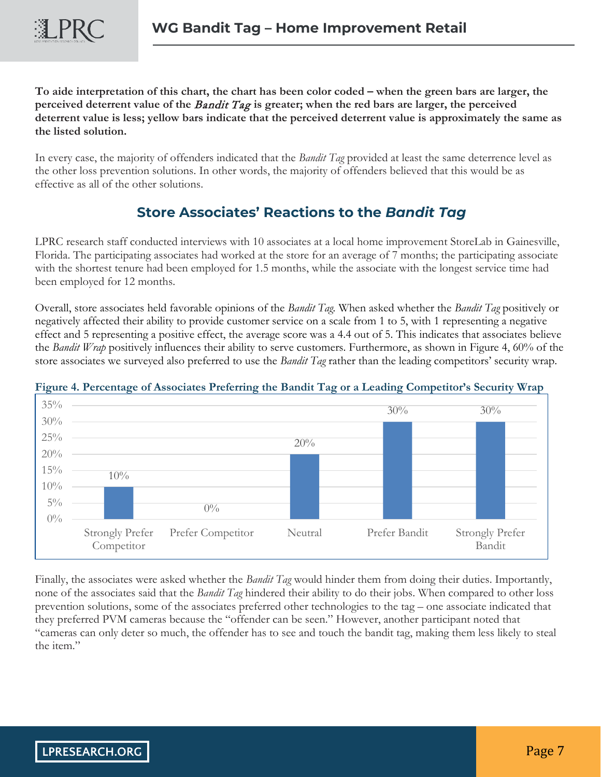**To aide interpretation of this chart, the chart has been color coded – when the green bars are larger, the perceived deterrent value of the** Bandit Tag **is greater; when the red bars are larger, the perceived deterrent value is less; yellow bars indicate that the perceived deterrent value is approximately the same as the listed solution.** 

In every case, the majority of offenders indicated that the *Bandit Tag* provided at least the same deterrence level as the other loss prevention solutions. In other words, the majority of offenders believed that this would be as effective as all of the other solutions.

### **Store Associates' Reactions to the** *Bandit Tag*

LPRC research staff conducted interviews with 10 associates at a local home improvement StoreLab in Gainesville, Florida. The participating associates had worked at the store for an average of 7 months; the participating associate with the shortest tenure had been employed for 1.5 months, while the associate with the longest service time had been employed for 12 months.

Overall, store associates held favorable opinions of the *Bandit Tag.* When asked whether the *Bandit Tag* positively or negatively affected their ability to provide customer service on a scale from 1 to 5, with 1 representing a negative effect and 5 representing a positive effect, the average score was a 4.4 out of 5. This indicates that associates believe the *Bandit Wrap* positively influences their ability to serve customers. Furthermore, as shown in Figure 4, 60% of the store associates we surveyed also preferred to use the *Bandit Tag* rather than the leading competitors' security wrap.



#### **Figure 4. Percentage of Associates Preferring the Bandit Tag or a Leading Competitor's Security Wrap**

Finally, the associates were asked whether the *Bandit Tag* would hinder them from doing their duties. Importantly, none of the associates said that the *Bandit Tag* hindered their ability to do their jobs. When compared to other loss prevention solutions, some of the associates preferred other technologies to the tag – one associate indicated that they preferred PVM cameras because the "offender can be seen." However, another participant noted that "cameras can only deter so much, the offender has to see and touch the bandit tag, making them less likely to steal the item."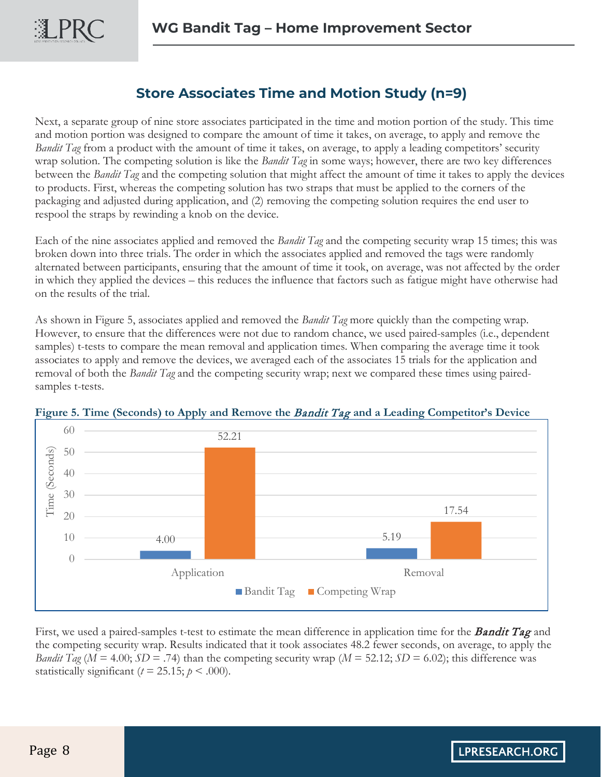まPRC

#### **Store Associates Time and Motion Study (n=9)**

Next, a separate group of nine store associates participated in the time and motion portion of the study. This time and motion portion was designed to compare the amount of time it takes, on average, to apply and remove the *Bandit Tag* from a product with the amount of time it takes, on average, to apply a leading competitors' security wrap solution. The competing solution is like the *Bandit Tag* in some ways; however, there are two key differences between the *Bandit Tag* and the competing solution that might affect the amount of time it takes to apply the devices to products. First, whereas the competing solution has two straps that must be applied to the corners of the packaging and adjusted during application, and (2) removing the competing solution requires the end user to respool the straps by rewinding a knob on the device.

Each of the nine associates applied and removed the *Bandit Tag* and the competing security wrap 15 times; this was broken down into three trials. The order in which the associates applied and removed the tags were randomly alternated between participants, ensuring that the amount of time it took, on average, was not affected by the order in which they applied the devices – this reduces the influence that factors such as fatigue might have otherwise had on the results of the trial.

As shown in Figure 5, associates applied and removed the *Bandit Tag* more quickly than the competing wrap. However, to ensure that the differences were not due to random chance, we used paired-samples (i.e., dependent samples) t-tests to compare the mean removal and application times. When comparing the average time it took associates to apply and remove the devices, we averaged each of the associates 15 trials for the application and removal of both the *Bandit Tag* and the competing security wrap; next we compared these times using pairedsamples t-tests.





First, we used a paired-samples t-test to estimate the mean difference in application time for the **Bandit Tag** and the competing security wrap. Results indicated that it took associates 48.2 fewer seconds, on average, to apply the *Bandit Tag* ( $M = 4.00$ ;  $SD = .74$ ) than the competing security wrap ( $M = 52.12$ ;  $SD = 6.02$ ); this difference was statistically significant ( $t = 25.15$ ;  $p < .000$ ).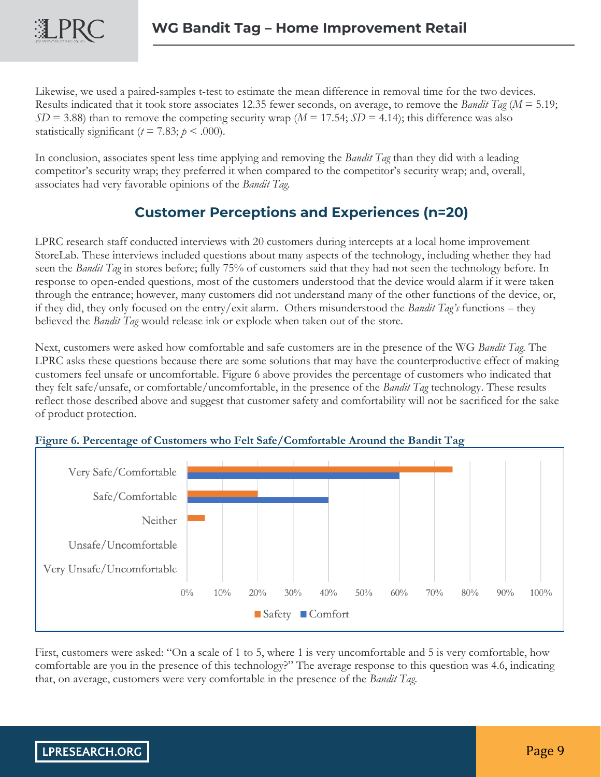LPRC

Likewise, we used a paired-samples t-test to estimate the mean difference in removal time for the two devices. Results indicated that it took store associates 12.35 fewer seconds, on average, to remove the *Bandit Tag* (*M* = 5.19;  $SD = 3.88$ ) than to remove the competing security wrap ( $M = 17.54$ ;  $SD = 4.14$ ); this difference was also statistically significant ( $t = 7.83$ ;  $p < .000$ ).

In conclusion, associates spent less time applying and removing the *Bandit Tag* than they did with a leading competitor's security wrap; they preferred it when compared to the competitor's security wrap; and, overall, associates had very favorable opinions of the *Bandit Tag.*

### **Customer Perceptions and Experiences (n=20)**

LPRC research staff conducted interviews with 20 customers during intercepts at a local home improvement StoreLab. These interviews included questions about many aspects of the technology, including whether they had seen the *Bandit Tag* in stores before; fully 75% of customers said that they had not seen the technology before. In response to open-ended questions, most of the customers understood that the device would alarm if it were taken through the entrance; however, many customers did not understand many of the other functions of the device, or, if they did, they only focused on the entry/exit alarm. Others misunderstood the *Bandit Tag's* functions – they believed the *Bandit Tag* would release ink or explode when taken out of the store.

Next, customers were asked how comfortable and safe customers are in the presence of the WG *Bandit Tag.* The LPRC asks these questions because there are some solutions that may have the counterproductive effect of making customers feel unsafe or uncomfortable. Figure 6 above provides the percentage of customers who indicated that they felt safe/unsafe, or comfortable/uncomfortable, in the presence of the *Bandit Tag* technology. These results reflect those described above and suggest that customer safety and comfortability will not be sacrificed for the sake of product protection.



#### **Figure 6. Percentage of Customers who Felt Safe/Comfortable Around the Bandit Tag**

First, customers were asked: "On a scale of 1 to 5, where 1 is very uncomfortable and 5 is very comfortable, how comfortable are you in the presence of this technology?" The average response to this question was 4.6, indicating that, on average, customers were very comfortable in the presence of the *Bandit Tag*.

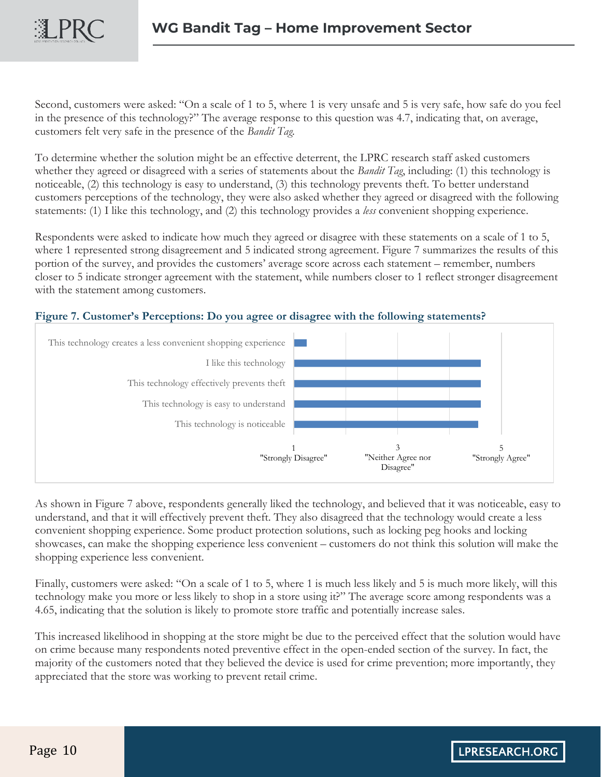Second, customers were asked: "On a scale of 1 to 5, where 1 is very unsafe and 5 is very safe, how safe do you feel in the presence of this technology?" The average response to this question was 4.7, indicating that, on average, customers felt very safe in the presence of the *Bandit Tag.*

To determine whether the solution might be an effective deterrent, the LPRC research staff asked customers whether they agreed or disagreed with a series of statements about the *Bandit Tag*, including: (1) this technology is noticeable, (2) this technology is easy to understand, (3) this technology prevents theft. To better understand customers perceptions of the technology, they were also asked whether they agreed or disagreed with the following statements: (1) I like this technology, and (2) this technology provides a *less* convenient shopping experience.

Respondents were asked to indicate how much they agreed or disagree with these statements on a scale of 1 to 5, where 1 represented strong disagreement and 5 indicated strong agreement. Figure 7 summarizes the results of this portion of the survey, and provides the customers' average score across each statement – remember, numbers closer to 5 indicate stronger agreement with the statement, while numbers closer to 1 reflect stronger disagreement with the statement among customers.





As shown in Figure 7 above, respondents generally liked the technology, and believed that it was noticeable, easy to understand, and that it will effectively prevent theft. They also disagreed that the technology would create a less convenient shopping experience. Some product protection solutions, such as locking peg hooks and locking showcases, can make the shopping experience less convenient – customers do not think this solution will make the shopping experience less convenient.

Finally, customers were asked: "On a scale of 1 to 5, where 1 is much less likely and 5 is much more likely, will this technology make you more or less likely to shop in a store using it?" The average score among respondents was a 4.65, indicating that the solution is likely to promote store traffic and potentially increase sales.

This increased likelihood in shopping at the store might be due to the perceived effect that the solution would have on crime because many respondents noted preventive effect in the open-ended section of the survey. In fact, the majority of the customers noted that they believed the device is used for crime prevention; more importantly, they appreciated that the store was working to prevent retail crime.